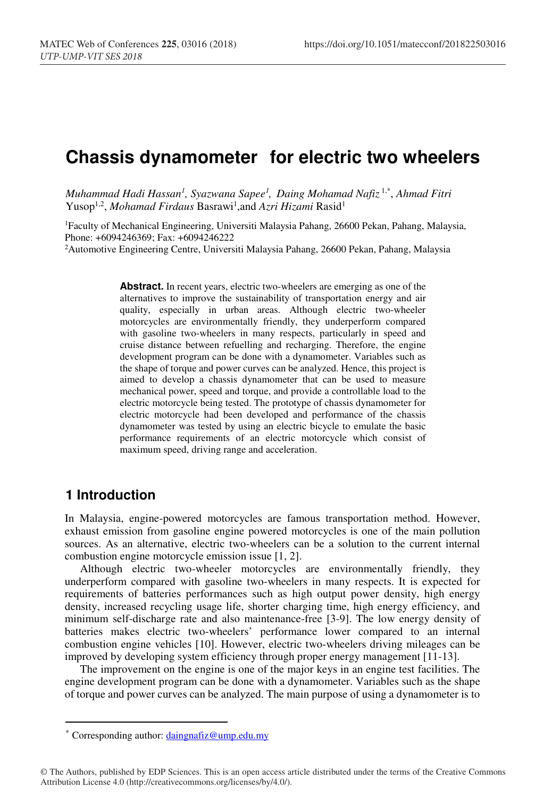# **Chassis dynamometer for electric two wheelers**

*Muhammad Hadi Hassan1 , Syazwana Sapee1 , Daing Mohamad Nafiz* 1,\*, *Ahmad Fitri* Yusop1,2, *Mohamad Firdaus* Basrawi1 ,and *Azri Hizami* Rasid1

1Faculty of Mechanical Engineering, Universiti Malaysia Pahang, 26600 Pekan, Pahang, Malaysia, Phone: +6094246369; Fax: +6094246222

2Automotive Engineering Centre, Universiti Malaysia Pahang, 26600 Pekan, Pahang, Malaysia

**Abstract.** In recent years, electric two-wheelers are emerging as one of the alternatives to improve the sustainability of transportation energy and air quality, especially in urban areas. Although electric two-wheeler motorcycles are environmentally friendly, they underperform compared with gasoline two-wheelers in many respects, particularly in speed and cruise distance between refuelling and recharging. Therefore, the engine development program can be done with a dynamometer. Variables such as the shape of torque and power curves can be analyzed. Hence, this project is aimed to develop a chassis dynamometer that can be used to measure mechanical power, speed and torque, and provide a controllable load to the electric motorcycle being tested. The prototype of chassis dynamometer for electric motorcycle had been developed and performance of the chassis dynamometer was tested by using an electric bicycle to emulate the basic performance requirements of an electric motorcycle which consist of maximum speed, driving range and acceleration.

# **1 Introduction**

 $\overline{a}$ 

In Malaysia, engine-powered motorcycles are famous transportation method. However, exhaust emission from gasoline engine powered motorcycles is one of the main pollution sources. As an alternative, electric two-wheelers can be a solution to the current internal combustion engine motorcycle emission issue [1, 2].

Although electric two-wheeler motorcycles are environmentally friendly, they underperform compared with gasoline two-wheelers in many respects. It is expected for requirements of batteries performances such as high output power density, high energy density, increased recycling usage life, shorter charging time, high energy efficiency, and minimum self-discharge rate and also maintenance-free [3-9]. The low energy density of batteries makes electric two-wheelers' performance lower compared to an internal combustion engine vehicles [10]. However, electric two-wheelers driving mileages can be improved by developing system efficiency through proper energy management [11-13].

The improvement on the engine is one of the major keys in an engine test facilities. The engine development program can be done with a dynamometer. Variables such as the shape of torque and power curves can be analyzed. The main purpose of using a dynamometer is to

<sup>\*</sup> Corresponding author: daingnafiz@ump.edu.my

<sup>©</sup> The Authors, published by EDP Sciences. This is an open access article distributed under the terms of the Creative Commons Attribution License 4.0 (http://creativecommons.org/licenses/by/4.0/).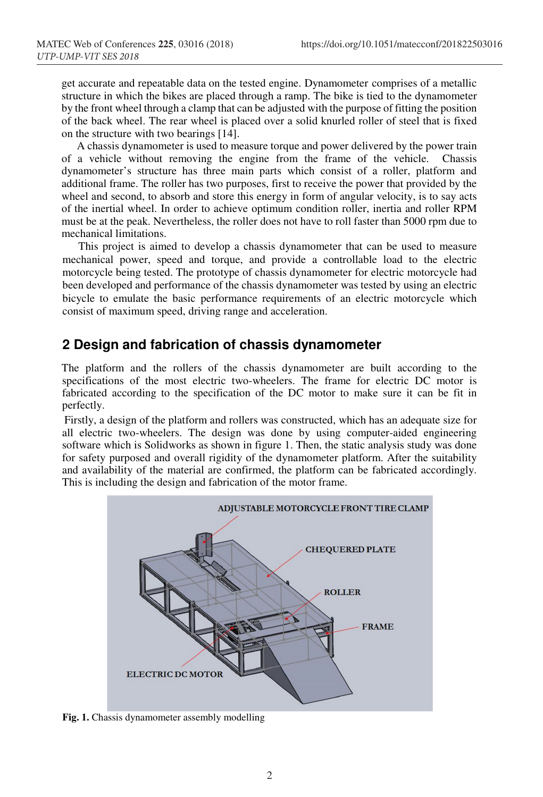get accurate and repeatable data on the tested engine. Dynamometer comprises of a metallic structure in which the bikes are placed through a ramp. The bike is tied to the dynamometer by the front wheel through a clamp that can be adjusted with the purpose of fitting the position of the back wheel. The rear wheel is placed over a solid knurled roller of steel that is fixed on the structure with two bearings [14].

A chassis dynamometer is used to measure torque and power delivered by the power train of a vehicle without removing the engine from the frame of the vehicle. Chassis dynamometer's structure has three main parts which consist of a roller, platform and additional frame. The roller has two purposes, first to receive the power that provided by the wheel and second, to absorb and store this energy in form of angular velocity, is to say acts of the inertial wheel. In order to achieve optimum condition roller, inertia and roller RPM must be at the peak. Nevertheless, the roller does not have to roll faster than 5000 rpm due to mechanical limitations.

This project is aimed to develop a chassis dynamometer that can be used to measure mechanical power, speed and torque, and provide a controllable load to the electric motorcycle being tested. The prototype of chassis dynamometer for electric motorcycle had been developed and performance of the chassis dynamometer was tested by using an electric bicycle to emulate the basic performance requirements of an electric motorcycle which consist of maximum speed, driving range and acceleration.

## **2 Design and fabrication of chassis dynamometer**

The platform and the rollers of the chassis dynamometer are built according to the specifications of the most electric two-wheelers. The frame for electric DC motor is fabricated according to the specification of the DC motor to make sure it can be fit in perfectly.

 Firstly, a design of the platform and rollers was constructed, which has an adequate size for all electric two-wheelers. The design was done by using computer-aided engineering software which is Solidworks as shown in figure 1. Then, the static analysis study was done for safety purposed and overall rigidity of the dynamometer platform. After the suitability and availability of the material are confirmed, the platform can be fabricated accordingly. This is including the design and fabrication of the motor frame.



**Fig. 1.** Chassis dynamometer assembly modelling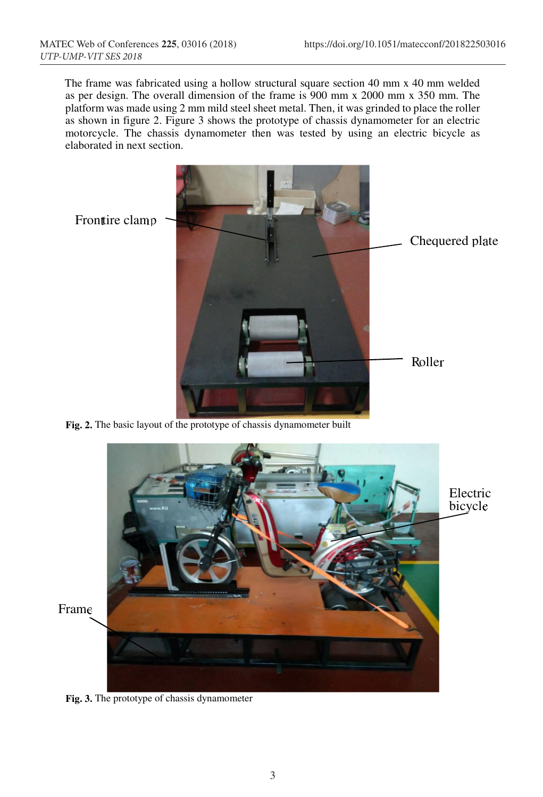The frame was fabricated using a hollow structural square section 40 mm x 40 mm welded as per design. The overall dimension of the frame is 900 mm x 2000 mm x 350 mm. The platform was made using 2 mm mild steel sheet metal. Then, it was grinded to place the roller as shown in figure 2. Figure 3 shows the prototype of chassis dynamometer for an electric motorcycle. The chassis dynamometer then was tested by using an electric bicycle as elaborated in next section.



**Fig. 2.** The basic layout of the prototype of chassis dynamometer built



**Fig. 3.** The prototype of chassis dynamometer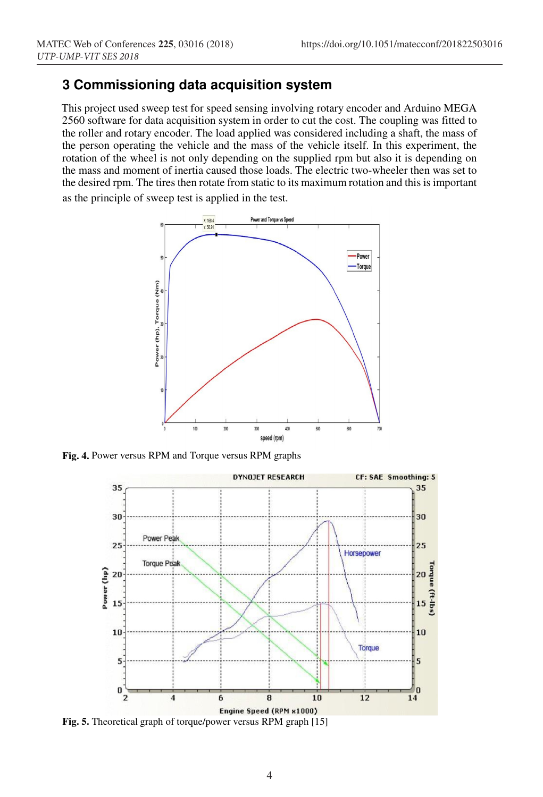# **3 Commissioning data acquisition system**

This project used sweep test for speed sensing involving rotary encoder and Arduino MEGA 2560 software for data acquisition system in order to cut the cost. The coupling was fitted to the roller and rotary encoder. The load applied was considered including a shaft, the mass of the person operating the vehicle and the mass of the vehicle itself. In this experiment, the rotation of the wheel is not only depending on the supplied rpm but also it is depending on the mass and moment of inertia caused those loads. The electric two-wheeler then was set to the desired rpm. The tires then rotate from static to its maximum rotation and this is important as the principle of sweep test is applied in the test.



**Fig. 4.** Power versus RPM and Torque versus RPM graphs



**Fig. 5.** Theoretical graph of torque/power versus RPM graph [15]